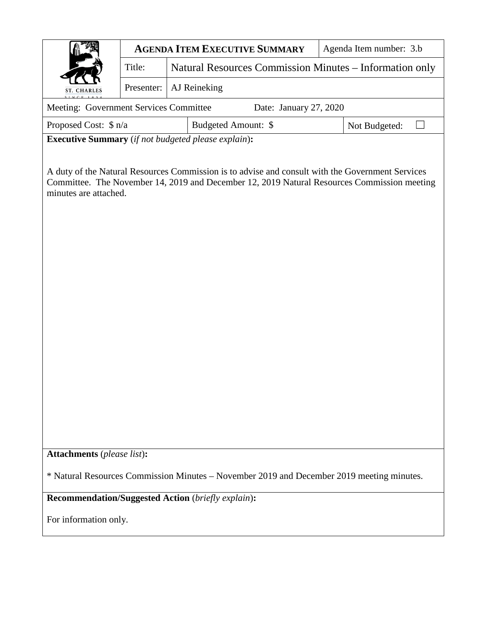|                                                                                                                                                                                                                          | <b>AGENDA ITEM EXECUTIVE SUMMARY</b> |                                                         |  | Agenda Item number: 3.b |
|--------------------------------------------------------------------------------------------------------------------------------------------------------------------------------------------------------------------------|--------------------------------------|---------------------------------------------------------|--|-------------------------|
|                                                                                                                                                                                                                          | Title:                               | Natural Resources Commission Minutes - Information only |  |                         |
| <b>ST. CHARLES</b>                                                                                                                                                                                                       | Presenter:                           | AJ Reineking                                            |  |                         |
| Meeting: Government Services Committee<br>Date: January 27, 2020                                                                                                                                                         |                                      |                                                         |  |                         |
| Proposed Cost: \$ n/a<br>Budgeted Amount: \$<br>Not Budgeted:                                                                                                                                                            |                                      |                                                         |  |                         |
| <b>Executive Summary</b> (if not budgeted please explain):                                                                                                                                                               |                                      |                                                         |  |                         |
| A duty of the Natural Resources Commission is to advise and consult with the Government Services<br>Committee. The November 14, 2019 and December 12, 2019 Natural Resources Commission meeting<br>minutes are attached. |                                      |                                                         |  |                         |
| <b>Attachments</b> (please list):                                                                                                                                                                                        |                                      |                                                         |  |                         |
| * Natural Resources Commission Minutes - November 2019 and December 2019 meeting minutes.                                                                                                                                |                                      |                                                         |  |                         |
| <b>Recommendation/Suggested Action (briefly explain):</b>                                                                                                                                                                |                                      |                                                         |  |                         |
| For information only.                                                                                                                                                                                                    |                                      |                                                         |  |                         |
|                                                                                                                                                                                                                          |                                      |                                                         |  |                         |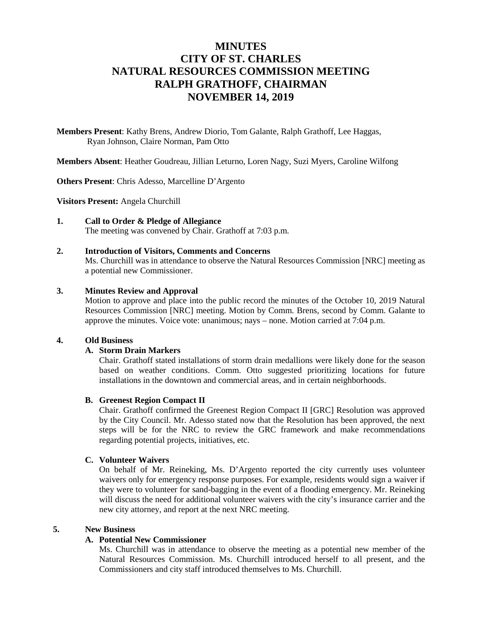### **MINUTES CITY OF ST. CHARLES NATURAL RESOURCES COMMISSION MEETING RALPH GRATHOFF, CHAIRMAN NOVEMBER 14, 2019**

**Members Present**: Kathy Brens, Andrew Diorio, Tom Galante, Ralph Grathoff, Lee Haggas, Ryan Johnson, Claire Norman, Pam Otto

**Members Absent**: Heather Goudreau, Jillian Leturno, Loren Nagy, Suzi Myers, Caroline Wilfong

**Others Present**: Chris Adesso, Marcelline D'Argento

**Visitors Present:** Angela Churchill

### **1. Call to Order & Pledge of Allegiance**

The meeting was convened by Chair. Grathoff at 7:03 p.m.

#### **2. Introduction of Visitors, Comments and Concerns**

Ms. Churchill was in attendance to observe the Natural Resources Commission [NRC] meeting as a potential new Commissioner.

#### **3. Minutes Review and Approval**

Motion to approve and place into the public record the minutes of the October 10, 2019 Natural Resources Commission [NRC] meeting. Motion by Comm. Brens, second by Comm. Galante to approve the minutes. Voice vote: unanimous; nays – none. Motion carried at 7:04 p.m.

#### **4. Old Business**

#### **A. Storm Drain Markers**

Chair. Grathoff stated installations of storm drain medallions were likely done for the season based on weather conditions. Comm. Otto suggested prioritizing locations for future installations in the downtown and commercial areas, and in certain neighborhoods.

#### **B. Greenest Region Compact II**

Chair. Grathoff confirmed the Greenest Region Compact II [GRC] Resolution was approved by the City Council. Mr. Adesso stated now that the Resolution has been approved, the next steps will be for the NRC to review the GRC framework and make recommendations regarding potential projects, initiatives, etc.

#### **C. Volunteer Waivers**

On behalf of Mr. Reineking, Ms. D'Argento reported the city currently uses volunteer waivers only for emergency response purposes. For example, residents would sign a waiver if they were to volunteer for sand-bagging in the event of a flooding emergency. Mr. Reineking will discuss the need for additional volunteer waivers with the city's insurance carrier and the new city attorney, and report at the next NRC meeting.

#### **5. New Business**

#### **A. Potential New Commissioner**

Ms. Churchill was in attendance to observe the meeting as a potential new member of the Natural Resources Commission. Ms. Churchill introduced herself to all present, and the Commissioners and city staff introduced themselves to Ms. Churchill.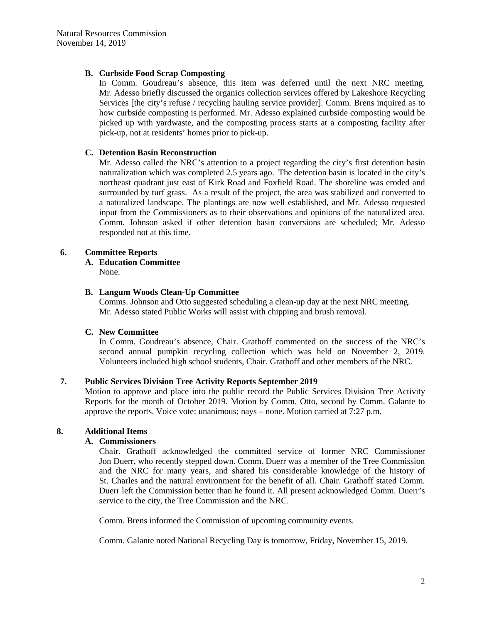#### **B. Curbside Food Scrap Composting**

In Comm. Goudreau's absence, this item was deferred until the next NRC meeting. Mr. Adesso briefly discussed the organics collection services offered by Lakeshore Recycling Services [the city's refuse / recycling hauling service provider]. Comm. Brens inquired as to how curbside composting is performed. Mr. Adesso explained curbside composting would be picked up with yardwaste, and the composting process starts at a composting facility after pick-up, not at residents' homes prior to pick-up.

#### **C. Detention Basin Reconstruction**

Mr. Adesso called the NRC's attention to a project regarding the city's first detention basin naturalization which was completed 2.5 years ago. The detention basin is located in the city's northeast quadrant just east of Kirk Road and Foxfield Road. The shoreline was eroded and surrounded by turf grass. As a result of the project, the area was stabilized and converted to a naturalized landscape. The plantings are now well established, and Mr. Adesso requested input from the Commissioners as to their observations and opinions of the naturalized area. Comm. Johnson asked if other detention basin conversions are scheduled; Mr. Adesso responded not at this time.

#### **6. Committee Reports**

#### **A. Education Committee**

None.

#### **B. Langum Woods Clean-Up Committee**

Comms. Johnson and Otto suggested scheduling a clean-up day at the next NRC meeting. Mr. Adesso stated Public Works will assist with chipping and brush removal.

#### **C. New Committee**

In Comm. Goudreau's absence, Chair. Grathoff commented on the success of the NRC's second annual pumpkin recycling collection which was held on November 2, 2019. Volunteers included high school students, Chair. Grathoff and other members of the NRC.

#### **7. Public Services Division Tree Activity Reports September 2019**

Motion to approve and place into the public record the Public Services Division Tree Activity Reports for the month of October 2019. Motion by Comm. Otto, second by Comm. Galante to approve the reports. Voice vote: unanimous; nays – none. Motion carried at 7:27 p.m.

#### **8. Additional Items**

#### **A. Commissioners**

Chair. Grathoff acknowledged the committed service of former NRC Commissioner Jon Duerr, who recently stepped down. Comm. Duerr was a member of the Tree Commission and the NRC for many years, and shared his considerable knowledge of the history of St. Charles and the natural environment for the benefit of all. Chair. Grathoff stated Comm. Duerr left the Commission better than he found it. All present acknowledged Comm. Duerr's service to the city, the Tree Commission and the NRC.

Comm. Brens informed the Commission of upcoming community events.

Comm. Galante noted National Recycling Day is tomorrow, Friday, November 15, 2019.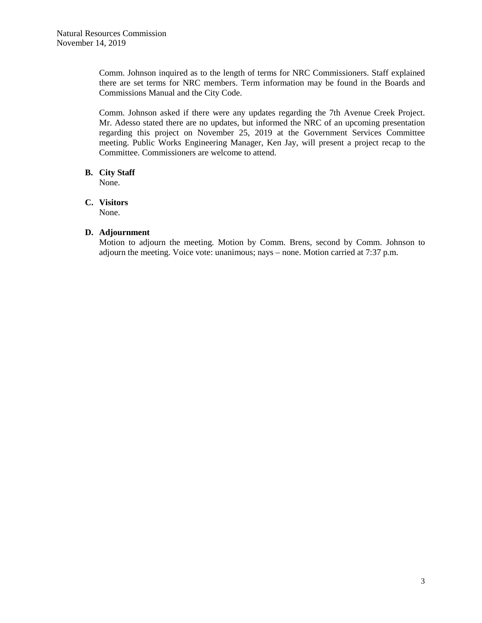Comm. Johnson inquired as to the length of terms for NRC Commissioners. Staff explained there are set terms for NRC members. Term information may be found in the Boards and Commissions Manual and the City Code.

Comm. Johnson asked if there were any updates regarding the 7th Avenue Creek Project. Mr. Adesso stated there are no updates, but informed the NRC of an upcoming presentation regarding this project on November 25, 2019 at the Government Services Committee meeting. Public Works Engineering Manager, Ken Jay, will present a project recap to the Committee. Commissioners are welcome to attend.

#### **B. City Staff**

None.

#### **C. Visitors**

None.

#### **D. Adjournment**

Motion to adjourn the meeting. Motion by Comm. Brens, second by Comm. Johnson to adjourn the meeting. Voice vote: unanimous; nays – none. Motion carried at 7:37 p.m.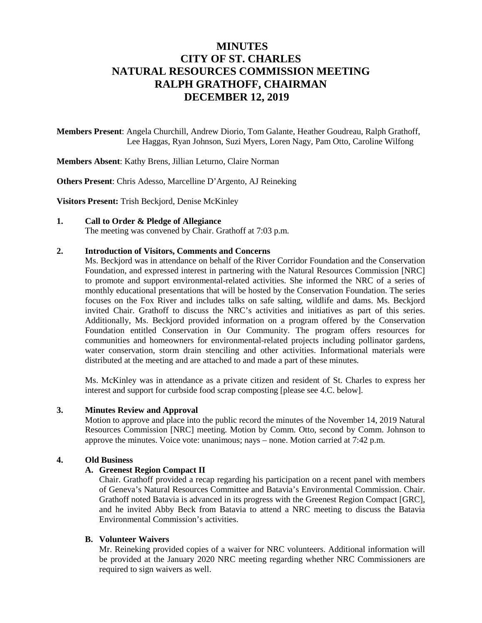### **MINUTES CITY OF ST. CHARLES NATURAL RESOURCES COMMISSION MEETING RALPH GRATHOFF, CHAIRMAN DECEMBER 12, 2019**

**Members Present**: Angela Churchill, Andrew Diorio, Tom Galante, Heather Goudreau, Ralph Grathoff, Lee Haggas, Ryan Johnson, Suzi Myers, Loren Nagy, Pam Otto, Caroline Wilfong

**Members Absent**: Kathy Brens, Jillian Leturno, Claire Norman

**Others Present**: Chris Adesso, Marcelline D'Argento, AJ Reineking

**Visitors Present:** Trish Beckjord, Denise McKinley

#### **1. Call to Order & Pledge of Allegiance**

The meeting was convened by Chair. Grathoff at 7:03 p.m.

#### **2. Introduction of Visitors, Comments and Concerns**

Ms. Beckjord was in attendance on behalf of the River Corridor Foundation and the Conservation Foundation, and expressed interest in partnering with the Natural Resources Commission [NRC] to promote and support environmental-related activities. She informed the NRC of a series of monthly educational presentations that will be hosted by the Conservation Foundation. The series focuses on the Fox River and includes talks on safe salting, wildlife and dams. Ms. Beckjord invited Chair. Grathoff to discuss the NRC's activities and initiatives as part of this series. Additionally, Ms. Beckjord provided information on a program offered by the Conservation Foundation entitled Conservation in Our Community. The program offers resources for communities and homeowners for environmental-related projects including pollinator gardens, water conservation, storm drain stenciling and other activities. Informational materials were distributed at the meeting and are attached to and made a part of these minutes.

Ms. McKinley was in attendance as a private citizen and resident of St. Charles to express her interest and support for curbside food scrap composting [please see 4.C. below].

#### **3. Minutes Review and Approval**

Motion to approve and place into the public record the minutes of the November 14, 2019 Natural Resources Commission [NRC] meeting. Motion by Comm. Otto, second by Comm. Johnson to approve the minutes. Voice vote: unanimous; nays – none. Motion carried at 7:42 p.m.

#### **4. Old Business**

#### **A. Greenest Region Compact II**

Chair. Grathoff provided a recap regarding his participation on a recent panel with members of Geneva's Natural Resources Committee and Batavia's Environmental Commission. Chair. Grathoff noted Batavia is advanced in its progress with the Greenest Region Compact [GRC], and he invited Abby Beck from Batavia to attend a NRC meeting to discuss the Batavia Environmental Commission's activities.

#### **B. Volunteer Waivers**

Mr. Reineking provided copies of a waiver for NRC volunteers. Additional information will be provided at the January 2020 NRC meeting regarding whether NRC Commissioners are required to sign waivers as well.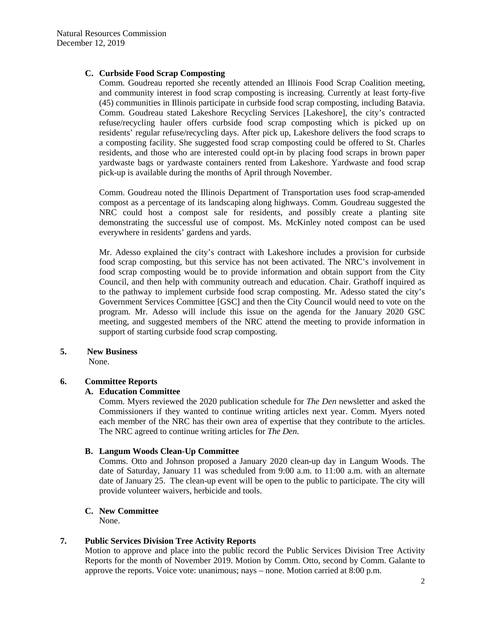#### **C. Curbside Food Scrap Composting**

Comm. Goudreau reported she recently attended an Illinois Food Scrap Coalition meeting, and community interest in food scrap composting is increasing. Currently at least forty-five (45) communities in Illinois participate in curbside food scrap composting, including Batavia. Comm. Goudreau stated Lakeshore Recycling Services [Lakeshore], the city's contracted refuse/recycling hauler offers curbside food scrap composting which is picked up on residents' regular refuse/recycling days. After pick up, Lakeshore delivers the food scraps to a composting facility. She suggested food scrap composting could be offered to St. Charles residents, and those who are interested could opt-in by placing food scraps in brown paper yardwaste bags or yardwaste containers rented from Lakeshore. Yardwaste and food scrap pick-up is available during the months of April through November.

Comm. Goudreau noted the Illinois Department of Transportation uses food scrap-amended compost as a percentage of its landscaping along highways. Comm. Goudreau suggested the NRC could host a compost sale for residents, and possibly create a planting site demonstrating the successful use of compost. Ms. McKinley noted compost can be used everywhere in residents' gardens and yards.

Mr. Adesso explained the city's contract with Lakeshore includes a provision for curbside food scrap composting, but this service has not been activated. The NRC's involvement in food scrap composting would be to provide information and obtain support from the City Council, and then help with community outreach and education. Chair. Grathoff inquired as to the pathway to implement curbside food scrap composting. Mr. Adesso stated the city's Government Services Committee [GSC] and then the City Council would need to vote on the program. Mr. Adesso will include this issue on the agenda for the January 2020 GSC meeting, and suggested members of the NRC attend the meeting to provide information in support of starting curbside food scrap composting.

#### **5. New Business**

None.

#### **6. Committee Reports**

#### **A. Education Committee**

Comm. Myers reviewed the 2020 publication schedule for *The Den* newsletter and asked the Commissioners if they wanted to continue writing articles next year. Comm. Myers noted each member of the NRC has their own area of expertise that they contribute to the articles. The NRC agreed to continue writing articles for *The Den*.

#### **B. Langum Woods Clean-Up Committee**

Comms. Otto and Johnson proposed a January 2020 clean-up day in Langum Woods. The date of Saturday, January 11 was scheduled from 9:00 a.m. to 11:00 a.m. with an alternate date of January 25. The clean-up event will be open to the public to participate. The city will provide volunteer waivers, herbicide and tools.

#### **C. New Committee**

None.

### **7. Public Services Division Tree Activity Reports**

Motion to approve and place into the public record the Public Services Division Tree Activity Reports for the month of November 2019. Motion by Comm. Otto, second by Comm. Galante to approve the reports. Voice vote: unanimous; nays – none. Motion carried at 8:00 p.m.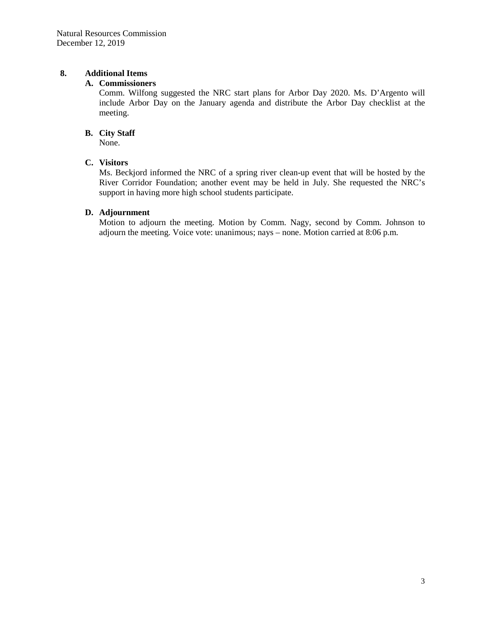#### **8. Additional Items**

#### **A. Commissioners**

Comm. Wilfong suggested the NRC start plans for Arbor Day 2020. Ms. D'Argento will include Arbor Day on the January agenda and distribute the Arbor Day checklist at the meeting.

#### **B. City Staff**

None.

#### **C. Visitors**

Ms. Beckjord informed the NRC of a spring river clean-up event that will be hosted by the River Corridor Foundation; another event may be held in July. She requested the NRC's support in having more high school students participate.

#### **D. Adjournment**

Motion to adjourn the meeting. Motion by Comm. Nagy, second by Comm. Johnson to adjourn the meeting. Voice vote: unanimous; nays – none. Motion carried at 8:06 p.m.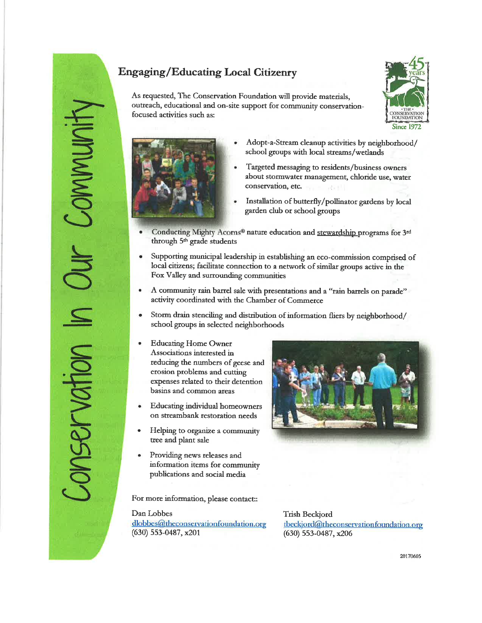# **Engaging/Educating Local Citizenry**

As requested, The Conservation Foundation will provide materials. outreach, educational and on-site support for community conservationfocused activities such as:





NIMIN

Nei

- Adopt-a-Stream cleanup activities by neighborhood/ school groups with local streams/wetlands
- Targeted messaging to residents/business owners about stormwater management, chloride use, water conservation, etc.
- Installation of butterfly/pollinator gardens by local garden club or school groups
- Conducting Mighty Acorns<sup>®</sup> nature education and stewardship programs for 3<sup>rd</sup> through 5<sup>th</sup> grade students
- Supporting municipal leadership in establishing an eco-commission comprised of local citizens; facilitate connection to a network of similar groups active in the Fox Valley and surrounding communities
- A community rain barrel sale with presentations and a "rain barrels on parade"  $\bullet$ activity coordinated with the Chamber of Commerce
- Storm drain stenciling and distribution of information fliers by neighborhood/  $\bullet$ school groups in selected neighborhoods
- **Educating Home Owner** Associations interested in reducing the numbers of geese and erosion problems and cutting expenses related to their detention basins and common areas
- **Educating individual homeowners** on streambank restoration needs
- Helping to organize a community tree and plant sale
- Providing news releases and information items for community publications and social media

For more information, please contact:

Dan Lobbes dlobbes@theconservationfoundation.org  $(630)$  553-0487, x201



**Trish Beckjord** tbeckjord@theconservationfoundation.org  $(630)$  553-0487, x206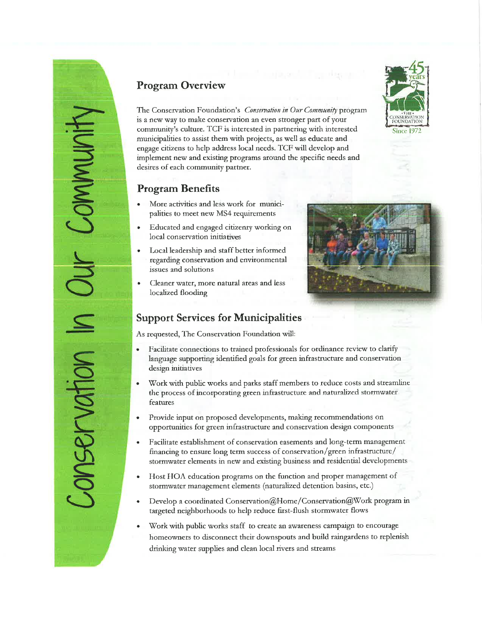

# **Program Overview**

The Conservation Foundation's Conservation in Our Community program is a new way to make conservation an even stronger part of your community's culture. TCF is interested in partnering with interested municipalities to assist them with projects, as well as educate and engage citizens to help address local needs. TCF will develop and implement new and existing programs around the specific needs and desires of each community partner.

### **Program Benefits**

- More activities and less work for municipalities to meet new MS4 requirements
- Educated and engaged citizenry working on local conservation initiatives
- Local leadership and staff better informed regarding conservation and environmental issues and solutions
- Cleaner water, more natural areas and less localized flooding

### **Support Services for Municipalities**

As requested, The Conservation Foundation will:

- Facilitate connections to trained professionals for ordinance review to clarify language supporting identified goals for green infrastructure and conservation design initiatives
- Work with public works and parks staff members to reduce costs and streamline the process of incorporating green infrastructure and naturalized stormwater features
- Provide input on proposed developments, making recommendations on opportunities for green infrastructure and conservation design components
- Facilitate establishment of conservation easements and long-term management financing to ensure long term success of conservation/green infrastructure/ stormwater elements in new and existing business and residential developments
- Host HOA education programs on the function and proper management of stormwater management elements (naturalized detention basins, etc.)
- Develop a coordinated Conservation@Home/Conservation@Work program in targeted neighborhoods to help reduce first-flush stormwater flows
- Work with public works staff to create an awareness campaign to encourage homeowners to disconnect their downspouts and build raingardens to replenish drinking water supplies and clean local rivers and streams

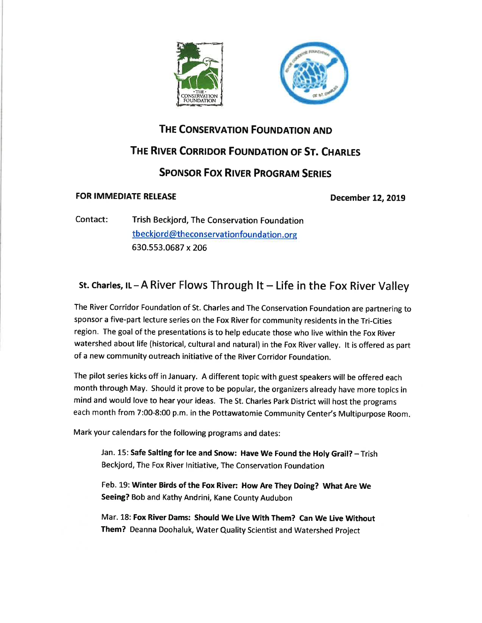



### THE CONSERVATION FOUNDATION AND

## THE RIVER CORRIDOR FOUNDATION OF ST. CHARLES

## **SPONSOR FOX RIVER PROGRAM SERIES**

#### **FOR IMMEDIATE RELEASE**

**December 12, 2019** 

Contact: Trish Beckjord, The Conservation Foundation tbeckjord@theconservationfoundation.org 630.553.0687 x 206

# st. Charles, IL-A River Flows Through It-Life in the Fox River Valley

The River Corridor Foundation of St. Charles and The Conservation Foundation are partnering to sponsor a five-part lecture series on the Fox River for community residents in the Tri-Cities region. The goal of the presentations is to help educate those who live within the Fox River watershed about life (historical, cultural and natural) in the Fox River valley. It is offered as part of a new community outreach initiative of the River Corridor Foundation.

The pilot series kicks off in January. A different topic with guest speakers will be offered each month through May. Should it prove to be popular, the organizers already have more topics in mind and would love to hear your ideas. The St. Charles Park District will host the programs each month from 7:00-8:00 p.m. in the Pottawatomie Community Center's Multipurpose Room.

Mark your calendars for the following programs and dates:

Jan. 15: Safe Salting for Ice and Snow: Have We Found the Holy Grail? - Trish Beckjord, The Fox River Initiative, The Conservation Foundation

Feb. 19: Winter Birds of the Fox River: How Are They Doing? What Are We Seeing? Bob and Kathy Andrini, Kane County Audubon

Mar. 18: Fox River Dams: Should We Live With Them? Can We Live Without Them? Deanna Doohaluk, Water Quality Scientist and Watershed Project